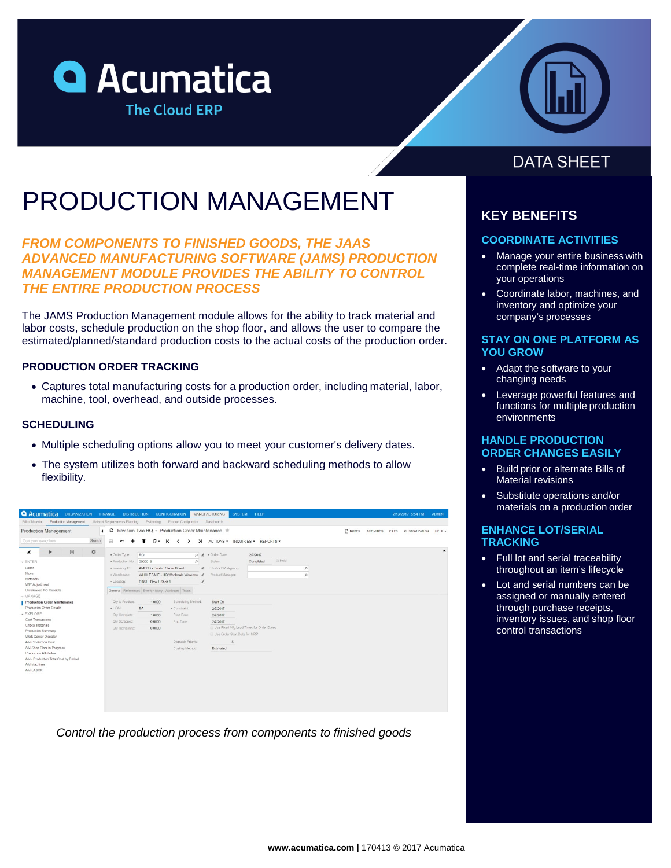



# PRODUCTION MANAGEMENT

*FROM COMPONENTS TO FINISHED GOODS, THE JAAS ADVANCED MANUFACTURING SOFTWARE (JAMS) PRODUCTION MANAGEMENT MODULE PROVIDES THE ABILITY TO CONTROL THE ENTIRE PRODUCTION PROCESS*

The JAMS Production Management module allows for the ability to track material and labor costs, schedule production on the shop floor, and allows the user to compare the estimated/planned/standard production costs to the actual costs of the production order.

### **PRODUCTION ORDER TRACKING**

• Captures total manufacturing costs for a production order, including material, labor, machine, tool, overhead, and outside processes.

### **SCHEDULING**

- Multiple scheduling options allow you to meet your customer's delivery dates.
- The system utilizes both forward and backward scheduling methods to allow flexibility.

| <b>Q</b> Acumatica                                                                                                          |                   | <b>ORGANIZATION</b>   |                | FINANCE<br><b>DISTRIBUTION</b>                                            |                               | <b>CONFIGURATION</b>               |            | <b>SYSTEM</b><br><b>MANUFACTURING</b>        | HELP      |               |         |           |                   |              | 2/13/2017 5:54 PM | <b>ADMIN</b> |
|-----------------------------------------------------------------------------------------------------------------------------|-------------------|-----------------------|----------------|---------------------------------------------------------------------------|-------------------------------|------------------------------------|------------|----------------------------------------------|-----------|---------------|---------|-----------|-------------------|--------------|-------------------|--------------|
| <b>Bill of Material</b>                                                                                                     |                   | Production Management |                | Material Requirements Planning Estimating Product Configurator Dashboards |                               |                                    |            |                                              |           |               |         |           |                   |              |                   |              |
| C Revision Two HQ - Production Order Maintenance $\dot{\mathbb{T}}$<br><b>Production Management</b><br>$\ddot{\phantom{0}}$ |                   |                       |                |                                                                           |                               |                                    |            |                                              |           |               |         | $D$ NOTES | <b>ACTIVITIES</b> | <b>FILES</b> | CUSTOMIZATION     | $HELP -$     |
| Type your query here                                                                                                        |                   |                       | Search         | a                                                                         | ۰                             | к<br>᠈                             | $\geq$     | ACTIONS . INQUIRIES . REPORTS .              |           |               |         |           |                   |              |                   |              |
| $\epsilon$                                                                                                                  | ٠                 | 圓                     | $\mathfrak{p}$ | · Order Type:                                                             | RO                            |                                    | 0 &        | · Order Date:                                | 2/7/2017  |               |         |           |                   |              |                   |              |
| $\overline{\phantom{a}}$ ENTER                                                                                              |                   |                       |                | * Production Nbr.                                                         | 0000019                       |                                    | o          | Status:                                      | Completed | <b>B</b> Hold |         |           |                   |              |                   |              |
| Labor<br>Move.<br>Materials<br>WIP Adjustment                                                                               |                   |                       |                | · Inventory ID:                                                           | AMPCB - Printed Circuit Board |                                    | e          | Product Workgroup:                           |           | ρ             |         |           |                   |              |                   |              |
|                                                                                                                             |                   |                       |                | · Warehouse:                                                              |                               | WHOLESALE - HQ Wholesale Warehou & |            | Product Manager:                             |           |               | $\circ$ |           |                   |              |                   |              |
|                                                                                                                             |                   |                       |                | · Location:                                                               | R1S1 - Row 1 Shelf 1          |                                    | $\epsilon$ |                                              |           |               |         |           |                   |              |                   |              |
| Unreleased PO Receipts<br>- MANAGE                                                                                          |                   |                       |                | General References Event History Attributes Totals                        |                               |                                    |            |                                              |           |               |         |           |                   |              |                   |              |
| Production Order Maintenance                                                                                                |                   |                       |                | Qty to Produce:                                                           | 1,0000                        | Scheduling Method:                 |            | Start On                                     |           |               |         |           |                   |              |                   |              |
| Production Order Details                                                                                                    |                   |                       |                | · UOM:                                                                    | EA                            | · Constraint:                      |            | 2/7/2017                                     |           |               |         |           |                   |              |                   |              |
| + EXPLORE                                                                                                                   |                   |                       |                | Cty Complete:                                                             | 1.0000                        | Start Date:                        |            | 2/7/2017                                     |           |               |         |           |                   |              |                   |              |
|                                                                                                                             | Cost Transactions |                       |                | Cty Scrapped:                                                             | 0.0000                        | End Date:                          |            | 2/7/2017                                     |           |               |         |           |                   |              |                   |              |
| Critical Materials<br>Production Summary                                                                                    |                   |                       |                | Cty Remaining:                                                            | 0.0000                        |                                    |            | Ell Use Fixed Mfg Lead Times for Order Dates |           |               |         |           |                   |              |                   |              |
| Work Center Dispatch                                                                                                        |                   |                       |                |                                                                           |                               |                                    |            | Use Order Start Date for MRP                 |           |               |         |           |                   |              |                   |              |
| AM-Production Cost                                                                                                          |                   |                       |                |                                                                           |                               | Dispatch Priority:                 |            | 5                                            |           |               |         |           |                   |              |                   |              |
| AM-Shop Floor in Progress                                                                                                   |                   |                       |                |                                                                           |                               | Costing Method:                    |            | Estimated                                    |           |               |         |           |                   |              |                   |              |
| Production Attributes                                                                                                       |                   |                       |                |                                                                           |                               |                                    |            |                                              |           |               |         |           |                   |              |                   |              |
| AM - Production Total Cost by Period                                                                                        |                   |                       |                |                                                                           |                               |                                    |            |                                              |           |               |         |           |                   |              |                   |              |
| AM-Machines<br>AM-LABOR                                                                                                     |                   |                       |                |                                                                           |                               |                                    |            |                                              |           |               |         |           |                   |              |                   |              |
|                                                                                                                             |                   |                       |                |                                                                           |                               |                                    |            |                                              |           |               |         |           |                   |              |                   |              |
|                                                                                                                             |                   |                       |                |                                                                           |                               |                                    |            |                                              |           |               |         |           |                   |              |                   |              |
|                                                                                                                             |                   |                       |                |                                                                           |                               |                                    |            |                                              |           |               |         |           |                   |              |                   |              |
|                                                                                                                             |                   |                       |                |                                                                           |                               |                                    |            |                                              |           |               |         |           |                   |              |                   |              |
|                                                                                                                             |                   |                       |                |                                                                           |                               |                                    |            |                                              |           |               |         |           |                   |              |                   |              |
|                                                                                                                             |                   |                       |                |                                                                           |                               |                                    |            |                                              |           |               |         |           |                   |              |                   |              |

*Control the production process from components to finished goods*

# **DATA SHEET**

# **KEY BENEFITS**

### **COORDINATE ACTIVITIES**

- Manage your entire business with complete real-time information on your operations
- Coordinate labor, machines, and inventory and optimize your company's processes

### **STAY ON ONE PLATFORM AS YOU GROW**

- Adapt the software to your changing needs
- Leverage powerful features and functions for multiple production environments

### **HANDLE PRODUCTION ORDER CHANGES EASILY**

- Build prior or alternate Bills of Material revisions
- Substitute operations and/or materials on a production order

### **ENHANCE LOT/SERIAL TRACKING**

- Full lot and serial traceability throughout an item's lifecycle
- Lot and serial numbers can be assigned or manually entered through purchase receipts, inventory issues, and shop floor control transactions